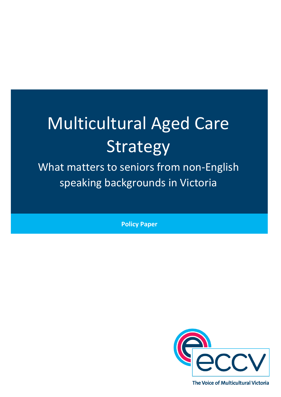# Multicultural Aged Care Strategy

What matters to seniors from non-English speaking backgrounds in Victoria

**Policy Paper**

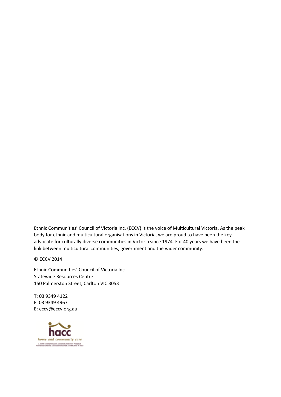Ethnic Communities' Council of Victoria Inc. (ECCV) is the voice of Multicultural Victoria. As the peak body for ethnic and multicultural organisations in Victoria, we are proud to have been the key advocate for culturally diverse communities in Victoria since 1974. For 40 years we have been the link between multicultural communities, government and the wider community.

© ECCV 2014

Ethnic Communities' Council of Victoria Inc. Statewide Resources Centre 150 Palmerston Street, Carlton VIC 3053

T: 03 9349 4122 F: 03 9349 4967 E: eccv@eccv.org.au

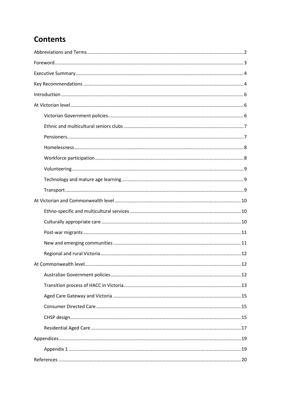# **Contents**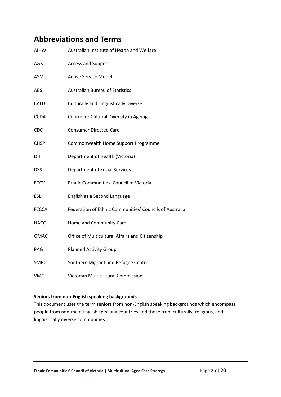# <span id="page-3-0"></span>**Abbreviations and Terms**

| <b>AIHW</b>  | Australian Institute of Health and Welfare              |  |  |
|--------------|---------------------------------------------------------|--|--|
| A&S          | Access and Support                                      |  |  |
| ASM          | <b>Active Service Model</b>                             |  |  |
| ABS          | <b>Australian Bureau of Statistics</b>                  |  |  |
| CALD         | <b>Culturally and Linguistically Diverse</b>            |  |  |
| <b>CCDA</b>  | Centre for Cultural Diversity in Ageing                 |  |  |
| <b>CDC</b>   | <b>Consumer Directed Care</b>                           |  |  |
| <b>CHSP</b>  | Commonwealth Home Support Programme                     |  |  |
| DH           | Department of Health (Victoria)                         |  |  |
| <b>DSS</b>   | <b>Department of Social Services</b>                    |  |  |
| <b>ECCV</b>  | Ethnic Communities' Council of Victoria                 |  |  |
| <b>ESL</b>   | English as a Second Language                            |  |  |
| <b>FECCA</b> | Federation of Ethnic Communities' Councils of Australia |  |  |
| <b>HACC</b>  | Home and Community Care                                 |  |  |
| OMAC         | Office of Multicultural Affairs and Citizenship         |  |  |
| PAG          | <b>Planned Activity Group</b>                           |  |  |
| <b>SMRC</b>  | Southern Migrant and Refugee Centre                     |  |  |
| <b>VMC</b>   | Victorian Multicultural Commission                      |  |  |

#### **Seniors from non-English speaking backgrounds**

This document uses the term seniors from non-English speaking backgrounds which encompass people from non-main English speaking countries and those from culturally, religious, and linguistically diverse communities.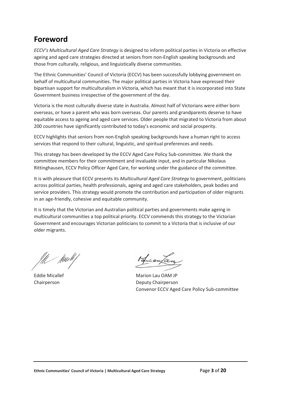# <span id="page-4-0"></span>**Foreword**

*ECCV's Multicultural Aged Care Strategy* is designed to inform political parties in Victoria on effective ageing and aged care strategies directed at seniors from non-English speaking backgrounds and those from culturally, religious, and linguistically diverse communities.

The Ethnic Communities' Council of Victoria (ECCV) has been successfully lobbying government on behalf of multicultural communities. The major political parties in Victoria have expressed their bipartisan support for multiculturalism in Victoria, which has meant that it is incorporated into State Government business irrespective of the government of the day.

Victoria is the most culturally diverse state in Australia. Almost half of Victorians were either born overseas, or have a parent who was born overseas. Our parents and grandparents deserve to have equitable access to ageing and aged care services. Older people that migrated to Victoria from about 200 countries have significantly contributed to today's economic and social prosperity.

ECCV highlights that seniors from non-English speaking backgrounds have a human right to access services that respond to their cultural, linguistic, and spiritual preferences and needs.

This strategy has been developed by the ECCV Aged Care Policy Sub-committee. We thank the committee members for their commitment and invaluable input, and in particular Nikolaus Rittinghausen, ECCV Policy Officer Aged Care, for working under the guidance of the committee.

It is with pleasure that ECCV presents its *Multicultural Aged Care Strategy* to government, politicians across political parties, health professionals, ageing and aged care stakeholders, peak bodies and service providers. This strategy would promote the contribution and participation of older migrants in an age-friendly, cohesive and equitable community.

It is timely that the Victorian and Australian political parties and governments make ageing in multicultural communities a top political priority. ECCV commends this strategy to the Victorian Government and encourages Victorian politicians to commit to a Victoria that is inclusive of our older migrants.

- fluwtt

Licoupa

Eddie Micallef Marion Lau OAM JP Chairperson Deputy Chairperson Convenor ECCV Aged Care Policy Sub-committee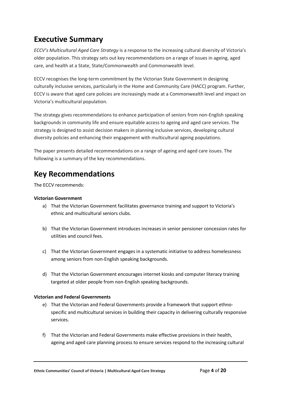# <span id="page-5-0"></span>**Executive Summary**

*ECCV's Multicultural Aged Care Strategy* is a response to the increasing cultural diversity of Victoria's older population. This strategy sets out key recommendations on a range of issues in ageing, aged care, and health at a State, State/Commonwealth and Commonwealth level.

ECCV recognises the long-term commitment by the Victorian State Government in designing culturally inclusive services, particularly in the Home and Community Care (HACC) program. Further, ECCV is aware that aged care policies are increasingly made at a Commonwealth level and impact on Victoria's multicultural population.

The strategy gives recommendations to enhance participation of seniors from non-English speaking backgrounds in community life and ensure equitable access to ageing and aged care services. The strategy is designed to assist decision makers in planning inclusive services, developing cultural diversity policies and enhancing their engagement with multicultural ageing populations.

The paper presents detailed recommendations on a range of ageing and aged care issues. The following is a summary of the key recommendations.

# <span id="page-5-1"></span>**Key Recommendations**

The ECCV recommends:

#### **Victorian Government**

- a) That the Victorian Government facilitates governance training and support to Victoria's ethnic and multicultural seniors clubs.
- b) That the Victorian Government introduces increases in senior pensioner concession rates for utilities and council fees.
- c) That the Victorian Government engages in a systematic initiative to address homelessness among seniors from non-English speaking backgrounds.
- d) That the Victorian Government encourages internet kiosks and computer literacy training targeted at older people from non-English speaking backgrounds.

#### **Victorian and Federal Governments**

- e) That the Victorian and Federal Governments provide a framework that support ethnospecific and multicultural services in building their capacity in delivering culturally responsive services.
- f) That the Victorian and Federal Governments make effective provisions in their health, ageing and aged care planning process to ensure services respond to the increasing cultural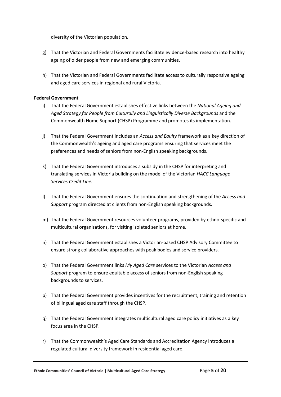diversity of the Victorian population.

- g) That the Victorian and Federal Governments facilitate evidence-based research into healthy ageing of older people from new and emerging communities.
- h) That the Victorian and Federal Governments facilitate access to culturally responsive ageing and aged care services in regional and rural Victoria.

#### **Federal Government**

- i) That the Federal Government establishes effective links between the *National Ageing and Aged Strategy for People from Culturally and Linguistically Diverse Backgrounds* and the Commonwealth Home Support (CHSP) Programme and promotes its implementation.
- j) That the Federal Government includes an *Access and Equity* framework as a key direction of the Commonwealth's ageing and aged care programs ensuring that services meet the preferences and needs of seniors from non-English speaking backgrounds.
- k) That the Federal Government introduces a subsidy in the CHSP for interpreting and translating services in Victoria building on the model of the Victorian *HACC Language Services Credit Line.*
- l) That the Federal Government ensures the continuation and strengthening of the *Access and Support* program directed at clients from non-English speaking backgrounds.
- m) That the Federal Government resources volunteer programs, provided by ethno-specific and multicultural organisations, for visiting isolated seniors at home.
- n) That the Federal Government establishes a Victorian-based CHSP Advisory Committee to ensure strong collaborative approaches with peak bodies and service providers.
- o) That the Federal Government links *My Aged Care* services to the Victorian *Access and Support* program to ensure equitable access of seniors from non-English speaking backgrounds to services.
- p) That the Federal Government provides incentives for the recruitment, training and retention of bilingual aged care staff through the CHSP.
- q) That the Federal Government integrates multicultural aged care policy initiatives as a key focus area in the CHSP.
- r) That the Commonwealth's Aged Care Standards and Accreditation Agency introduces a regulated cultural diversity framework in residential aged care.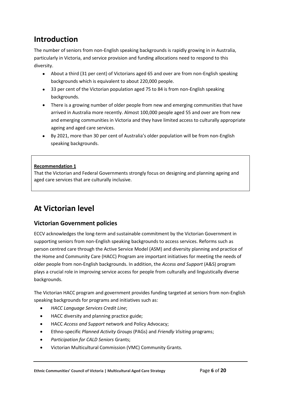# <span id="page-7-0"></span>**Introduction**

The number of seniors from non-English speaking backgrounds is rapidly growing in in Australia, particularly in Victoria, and service provision and funding allocations need to respond to this diversity.

- About a third (31 per cent) of Victorians aged 65 and over are from non-English speaking backgrounds which is equivalent to about 220,000 people.
- 33 per cent of the Victorian population aged 75 to 84 is from non-English speaking backgrounds.
- There is a growing number of older people from new and emerging communities that have arrived in Australia more recently. Almost 100,000 people aged 55 and over are from new and emerging communities in Victoria and they have limited access to culturally appropriate ageing and aged care services.
- By 2021, more than 30 per cent of Australia's older population will be from non-English speaking backgrounds.

#### **Recommendation 1**

That the Victorian and Federal Governments strongly focus on designing and planning ageing and aged care services that are culturally inclusive.

# <span id="page-7-1"></span>**At Victorian level**

# <span id="page-7-2"></span>**Victorian Government policies**

ECCV acknowledges the long-term and sustainable commitment by the Victorian Government in supporting seniors from non-English speaking backgrounds to access services. Reforms such as person centred care through the Active Service Model (ASM) and diversity planning and practice of the Home and Community Care (HACC) Program are important initiatives for meeting the needs of older people from non-English backgrounds. In addition, the *Access and Support* (A&S) program plays a crucial role in improving service access for people from culturally and linguistically diverse backgrounds.

The Victorian HACC program and government provides funding targeted at seniors from non-English speaking backgrounds for programs and initiatives such as:

- *HACC Language Services Credit Line*;
- HACC diversity and planning practice guide;
- HACC *Access and Support* network and Policy Advocacy;
- Ethno-specific *Planned Activity Groups* (PAGs) and *Friendly Visiting* programs;
- *Participation for CALD Seniors* Grants;
- Victorian Multicultural Commission (VMC) Community Grants.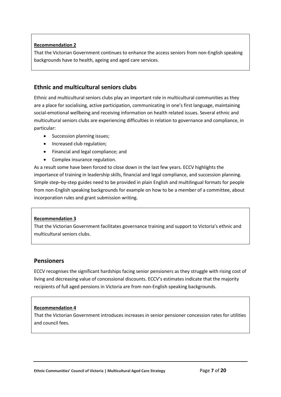That the Victorian Government continues to enhance the access seniors from non-English speaking backgrounds have to health, ageing and aged care services.

# <span id="page-8-0"></span>**Ethnic and multicultural seniors clubs**

Ethnic and multicultural seniors clubs play an important role in multicultural communities as they are a place for socialising, active participation, communicating in one's first language, maintaining social-emotional wellbeing and receiving information on health related issues. Several ethnic and multicultural seniors clubs are experiencing difficulties in relation to governance and compliance, in particular:

- Succession planning issues;
- Increased club regulation;
- Financial and legal compliance; and
- Complex insurance regulation.

As a result some have been forced to close down in the last few years. ECCV highlights the importance of training in leadership skills, financial and legal compliance, and succession planning. Simple step–by-step guides need to be provided in plain English and multilingual formats for people from non-English speaking backgrounds for example on how to be a member of a committee, about incorporation rules and grant submission writing.

#### **Recommendation 3**

That the Victorian Government facilitates governance training and support to Victoria's ethnic and multicultural seniors clubs.

## <span id="page-8-1"></span>**Pensioners**

ECCV recognises the significant hardships facing senior pensioners as they struggle with rising cost of living and decreasing value of concessional discounts. ECCV's estimates indicate that the majority recipients of full aged pensions in Victoria are from non-English speaking backgrounds.

#### **Recommendation 4**

That the Victorian Government introduces increases in senior pensioner concession rates for utilities and council fees.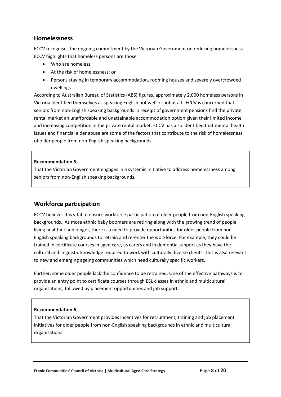#### <span id="page-9-0"></span>**Homelessness**

ECCV recognises the ongoing commitment by the Victorian Government on reducing homelessness. ECCV highlights that homeless persons are those

- Who are homeless:
- At the risk of homelessness; or
- Persons staying in temporary accommodation, rooming houses and severely overcrowded dwellings.

According to Australian Bureau of Statistics (ABS) figures, approximately 2,000 homeless persons in Victoria identified themselves as speaking English not well or not at all. ECCV is concerned that seniors from non-English speaking backgrounds in receipt of government pensions find the private rental market an unaffordable and unattainable accommodation option given their limited income and increasing competition in the private rental market. ECCV has also identified that mental health issues and financial elder abuse are some of the factors that contribute to the risk of homelessness of older people from non-English speaking backgrounds.

#### **Recommendation 5**

That the Victorian Government engages in a systemic initiative to address homelessness among seniors from non-English speaking backgrounds.

## <span id="page-9-1"></span>**Workforce participation**

ECCV believes it is vital to ensure workforce participation of older people from non-English speaking backgrounds. As more ethnic baby boomers are retiring along with the growing trend of people living healthier and longer, there is a need to provide opportunities for older people from non-English speaking backgrounds to retrain and re-enter the workforce. For example, they could be trained in certificate courses in aged care, as carers and in dementia support as they have the cultural and linguistic knowledge required to work with culturally diverse clients. This is also relevant to new and emerging ageing communities which need culturally specific workers.

Further, some older people lack the confidence to be retrained. One of the effective pathways is to provide an entry point to certificate courses through ESL classes in ethnic and multicultural organisations, followed by placement opportunities and job support.

#### **Recommendation 6**

That the Victorian Government provides incentives for recruitment, training and job placement initiatives for older people from non-English speaking backgrounds in ethnic and multicultural organisations.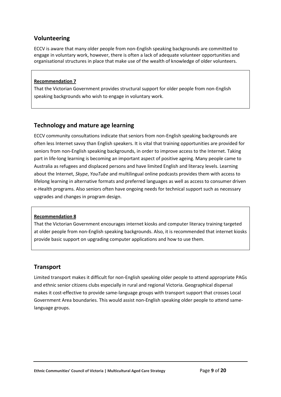## <span id="page-10-0"></span>**Volunteering**

ECCV is aware that many older people from non-English speaking backgrounds are committed to engage in voluntary work, however, there is often a lack of adequate volunteer opportunities and organisational structures in place that make use of the wealth of knowledge of older volunteers.

#### **Recommendation 7**

That the Victorian Government provides structural support for older people from non-English speaking backgrounds who wish to engage in voluntary work.

### <span id="page-10-1"></span>**Technology and mature age learning**

ECCV community consultations indicate that seniors from non-English speaking backgrounds are often less Internet savvy than English speakers. It is vital that training opportunities are provided for seniors from non-English speaking backgrounds, in order to improve access to the Internet. Taking part in life-long learning is becoming an important aspect of positive ageing. Many people came to Australia as refugees and displaced persons and have limited English and literacy levels. Learning about the Internet, *Skype*, *YouTube* and multilingual online podcasts provides them with access to lifelong learning in alternative formats and preferred languages as well as access to consumer driven e-Health programs. Also seniors often have ongoing needs for technical support such as necessary upgrades and changes in program design.

#### **Recommendation 8**

That the Victorian Government encourages internet kiosks and computer literacy training targeted at older people from non-English speaking backgrounds. Also, it is recommended that internet kiosks provide basic support on upgrading computer applications and how to use them.

## <span id="page-10-2"></span>**Transport**

Limited transport makes it difficult for non-English speaking older people to attend appropriate PAGs and ethnic senior citizens clubs especially in rural and regional Victoria. Geographical dispersal makes it cost-effective to provide same-language groups with transport support that crosses Local Government Area boundaries. This would assist non-English speaking older people to attend samelanguage groups.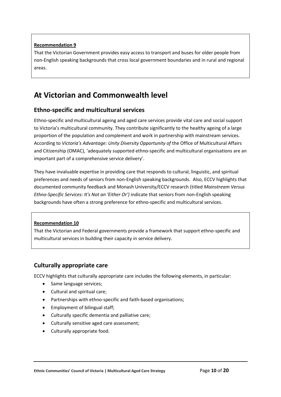That the Victorian Government provides easy access to transport and buses for older people from non-English speaking backgrounds that cross local government boundaries and in rural and regional areas.

# <span id="page-11-0"></span>**At Victorian and Commonwealth level**

## <span id="page-11-1"></span>**Ethno-specific and multicultural services**

Ethno-specific and multicultural ageing and aged care services provide vital care and social support to Victoria's multicultural community. They contribute significantly to the healthy ageing of a large proportion of the population and complement and work in partnership with mainstream services. According to *Victoria's Advantage: Unity Diversity Opportunity of* the Office of Multicultural Affairs and Citizenship (OMAC), 'adequately supported ethno-specific and multicultural organisations are an important part of a comprehensive service delivery'.

They have invaluable expertise in providing care that responds to cultural, linguistic, and spiritual preferences and needs of seniors from non-English speaking backgrounds. Also, ECCV highlights that documented community feedback and Monash University/ECCV research (titled *Mainstream Versus Ethno-Specific Services: It's Not an 'Either Or')* indicate that seniors from non-English speaking backgrounds have often a strong preference for ethno-specific and multicultural services.

#### **Recommendation 10**

That the Victorian and Federal governments provide a framework that support ethno-specific and multicultural services in building their capacity in service delivery.

## <span id="page-11-2"></span>**Culturally appropriate care**

ECCV highlights that culturally appropriate care includes the following elements, in particular:

- Same language services;
- Cultural and spiritual care;
- Partnerships with ethno-specific and faith-based organisations;
- Employment of bilingual staff;
- Culturally specific dementia and palliative care;
- Culturally sensitive aged care assessment;
- Culturally appropriate food.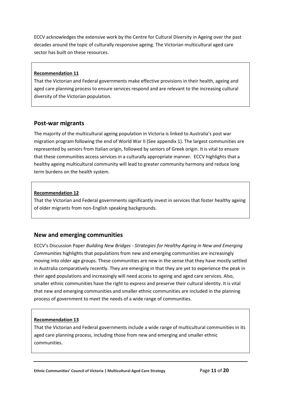ECCV acknowledges the extensive work by the Centre for Cultural Diversity in Ageing over the past decades around the topic of culturally responsive ageing. The Victorian multicultural aged care sector has built on these resources.

#### **Recommendation 11**

That the Victorian and Federal governments make effective provisions in their health, ageing and aged care planning process to ensure services respond and are relevant to the increasing cultural diversity of the Victorian population.

#### <span id="page-12-0"></span>**Post-war migrants**

The majority of the multicultural ageing population in Victoria is linked to Australia's post war migration program following the end of World War II (See appendix 1). The largest communities are represented by seniors from Italian origin, followed by seniors of Greek origin. It is vital to ensure that these communities access services in a culturally appropriate manner. ECCV highlights that a healthy ageing multicultural community will lead to greater community harmony and reduce long term burdens on the health system.

#### **Recommendation 12**

That the Victorian and Federal governments significantly invest in services that foster healthy ageing of older migrants from non-English speaking backgrounds.

## <span id="page-12-1"></span>**New and emerging communities**

ECCV's Discussion Paper *Building New Bridges - Strategies for Healthy Ageing in New and Emerging Communities* highlights that populations from new and emerging communities are increasingly moving into older age groups. These communities are new in the sense that they have mostly settled in Australia comparatively recently. They are emerging in that they are yet to experience the peak in their aged populations and increasingly will need access to ageing and aged care services. Also, smaller ethnic communities have the right to express and preserve their cultural identity. It is vital that new and emerging communities and smaller ethnic communities are included in the planning process of government to meet the needs of a wide range of communities.

#### **Recommendation 13**

That the Victorian and Federal governments include a wide range of multicultural communities in its aged care planning process, including those from new and emerging and smaller ethnic communities.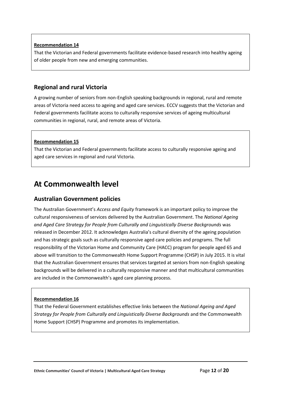That the Victorian and Federal governments facilitate evidence-based research into healthy ageing of older people from new and emerging communities.

## <span id="page-13-0"></span>**Regional and rural Victoria**

A growing number of seniors from non-English speaking backgrounds in regional, rural and remote areas of Victoria need access to ageing and aged care services. ECCV suggests that the Victorian and Federal governments facilitate access to culturally responsive services of ageing multicultural communities in regional, rural, and remote areas of Victoria.

#### **Recommendation 15**

That the Victorian and Federal governments facilitate access to culturally responsive ageing and aged care services in regional and rural Victoria.

# <span id="page-13-1"></span>**At Commonwealth level**

## <span id="page-13-2"></span>**Australian Government policies**

The Australian Government's *Access and Equity* framework is an important policy to improve the cultural responsiveness of services delivered by the Australian Government. The *National Ageing and Aged Care Strategy for People from Culturally and Linguistically Diverse Backgrounds* was released in December 2012. It acknowledges Australia's cultural diversity of the ageing population and has strategic goals such as culturally responsive aged care policies and programs. The full responsibility of the Victorian Home and Community Care (HACC) program for people aged 65 and above will transition to the Commonwealth Home Support Programme (CHSP) in July 2015. It is vital that the Australian Government ensures that services targeted at seniors from non-English speaking backgrounds will be delivered in a culturally responsive manner and that multicultural communities are included in the Commonwealth's aged care planning process.

#### **Recommendation 16**

That the Federal Government establishes effective links between the *National Ageing and Aged Strategy for People from Culturally and Linguistically Diverse Backgrounds* and the Commonwealth Home Support (CHSP) Programme and promotes its implementation.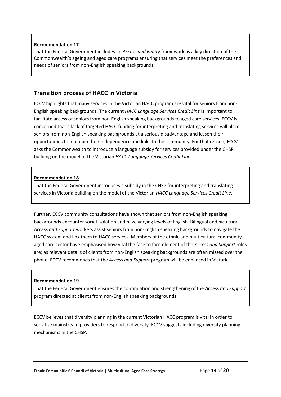That the Federal Government includes an *Access and Equity* framework as a key direction of the Commonwealth's ageing and aged care programs ensuring that services meet the preferences and needs of seniors from non-English speaking backgrounds.

## <span id="page-14-0"></span>**Transition process of HACC in Victoria**

ECCV highlights that many services in the Victorian HACC program are vital for seniors from non-English speaking backgrounds. The current *HACC Language Services Credit Line* is important to facilitate access of seniors from non-English speaking backgrounds to aged care services. ECCV is concerned that a lack of targeted HACC funding for interpreting and translating services will place seniors from non-English speaking backgrounds at a serious disadvantage and lessen their opportunities to maintain their independence and links to the community. For that reason, ECCV asks the Commonwealth to introduce a language subsidy for services provided under the CHSP building on the model of the Victorian *HACC Language Services Credit Line*.

#### **Recommendation 18**

That the Federal Government introduces a subsidy in the CHSP for interpreting and translating services in Victoria building on the model of the Victorian *HACC Language Services Credit Line*.

Further, ECCV community consultations have shown that seniors from non-English speaking backgrounds encounter social isolation and have varying levels of English. Bilingual and bicultural *Access and Support* workers assist seniors from non-English speaking backgrounds to navigate the HACC system and link them to HACC services. Members of the ethnic and multicultural community aged care sector have emphasised how vital the face to face element of the *Access and Support* roles are; as relevant details of clients from non-English speaking backgrounds are often missed over the phone. ECCV recommends that the *Access and Support* program will be enhanced in Victoria.

#### **Recommendation 19**

That the Federal Government ensures the continuation and strengthening of the *Access and Support* program directed at clients from non-English speaking backgrounds.

ECCV believes that diversity planning in the current Victorian HACC program is vital in order to sensitise mainstream providers to respond to diversity. ECCV suggests including diversity planning mechanisms in the CHSP.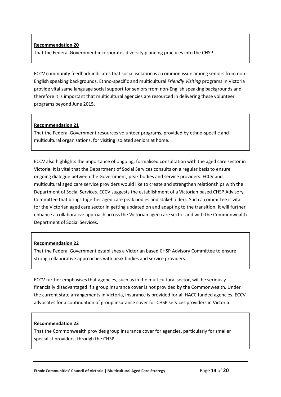That the Federal Government incorporates diversity planning practices into the CHSP.

ECCV community feedback indicates that social isolation is a common issue among seniors from non-English speaking backgrounds. Ethno-specific and multicultural *Friendly Visiting* programs in Victoria provide vital same language social support for seniors from non-English speaking backgrounds and therefore it is important that multicultural agencies are resourced in delivering these volunteer programs beyond June 2015.

#### **Recommendation 21**

That the Federal Government resources volunteer programs, provided by ethno-specific and multicultural organisations, for visiting isolated seniors at home.

ECCV also highlights the importance of ongoing, formalised consultation with the aged care sector in Victoria. It is vital that the Department of Social Services consults on a regular basis to ensure ongoing dialogue between the Government, peak bodies and service providers. ECCV and multicultural aged care service providers would like to create and strengthen relationships with the Department of Social Services. ECCV suggests the establishment of a Victorian based CHSP Advisory Committee that brings together aged care peak bodies and stakeholders. Such a committee is vital for the Victorian aged care sector in getting updated on and adapting to the transition. It will further enhance a collaborative approach across the Victorian aged care sector and with the Commonwealth Department of Social Services.

#### **Recommendation 22**

That the Federal Government establishes a Victorian based CHSP Advisory Committee to ensure strong collaborative approaches with peak bodies and service providers.

ECCV further emphasises that agencies, such as in the multicultural sector, will be seriously financially disadvantaged if a group insurance cover is not provided by the Commonwealth. Under the current state arrangements in Victoria, insurance is provided for all HACC funded agencies. ECCV advocates for a continuation of group insurance cover for CHSP services providers in Victoria.

#### **Recommendation 23**

That the Commonwealth provides group insurance cover for agencies, particularly for smaller specialist providers, through the CHSP.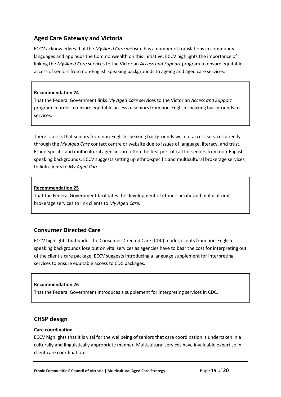# <span id="page-16-0"></span>**Aged Care Gateway and Victoria**

ECCV acknowledges that the *My Aged Care* website has a number of translations in community languages and applauds the Commonwealth on this initiative. ECCV highlights the importance of linking the *My Aged Care* services to the Victorian *Access and Support* program to ensure equitable access of seniors from non-English speaking backgrounds to ageing and aged care services.

#### **Recommendation 24**

That the Federal Government links *My Aged Care* services to the Victorian *Access and Support* program in order to ensure equitable access of seniors from non-English speaking backgrounds to services.

There is a risk that seniors from non-English speaking backgrounds will not access services directly through the *My Aged Care* contact centre or website due to issues of language, literacy, and trust. Ethno-specific and multicultural agencies are often the first port of call for seniors from non-English speaking backgrounds. ECCV suggests setting up ethno-specific and multicultural brokerage services to link clients to *My Aged Care*.

#### **Recommendation 25**

That the Federal Government facilitates the development of ethno-specific and multicultural brokerage services to link clients to *My Aged Care*.

# <span id="page-16-1"></span>**Consumer Directed Care**

ECCV highlights that under the Consumer Directed Care (CDC) model, clients from non-English speaking backgrounds lose out on vital services as agencies have to bear the cost for interpreting out of the client's care package. ECCV suggests introducing a language supplement for interpreting services to ensure equitable access to CDC packages.

#### **Recommendation 26**

That the Federal Government introduces a supplement for interpreting services in CDC.

## <span id="page-16-2"></span>**CHSP design**

#### **Care coordination**

ECCV highlights that it is vital for the wellbeing of seniors that care coordination is undertaken in a culturally and linguistically appropriate manner. Multicultural services have invaluable expertise in client care coordination.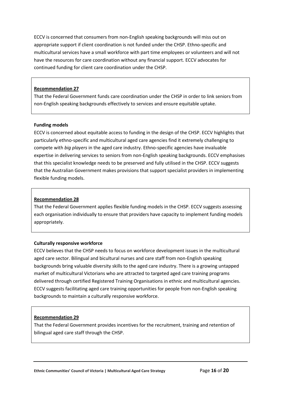ECCV is concerned that consumers from non-English speaking backgrounds will miss out on appropriate support if client coordination is not funded under the CHSP. Ethno-specific and multicultural services have a small workforce with part time employees or volunteers and will not have the resources for care coordination without any financial support. ECCV advocates for continued funding for client care coordination under the CHSP.

#### **Recommendation 27**

That the Federal Government funds care coordination under the CHSP in order to link seniors from non-English speaking backgrounds effectively to services and ensure equitable uptake.

#### **Funding models**

ECCV is concerned about equitable access to funding in the design of the CHSP. ECCV highlights that particularly ethno-specific and multicultural aged care agencies find it extremely challenging to compete with *big players* in the aged care industry. Ethno-specific agencies have invaluable expertise in delivering services to seniors from non-English speaking backgrounds. ECCV emphasises that this specialist knowledge needs to be preserved and fully utilised in the CHSP. ECCV suggests that the Australian Government makes provisions that support specialist providers in implementing flexible funding models.

#### **Recommendation 28**

That the Federal Government applies flexible funding models in the CHSP. ECCV suggests assessing each organisation individually to ensure that providers have capacity to implement funding models appropriately.

#### **Culturally responsive workforce**

ECCV believes that the CHSP needs to focus on workforce development issues in the multicultural aged care sector. Bilingual and bicultural nurses and care staff from non-English speaking backgrounds bring valuable diversity skills to the aged care industry. There is a growing untapped market of multicultural Victorians who are attracted to targeted aged care training programs delivered through certified Registered Training Organisations in ethnic and multicultural agencies. ECCV suggests facilitating aged care training opportunities for people from non-English speaking backgrounds to maintain a culturally responsive workforce.

#### **Recommendation 29**

That the Federal Government provides incentives for the recruitment, training and retention of bilingual aged care staff through the CHSP.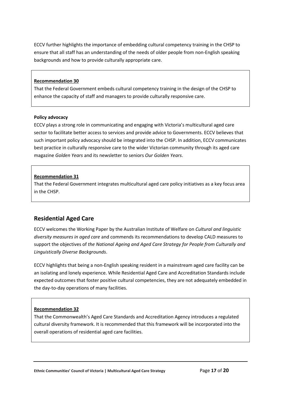ECCV further highlights the importance of embedding cultural competency training in the CHSP to ensure that all staff has an understanding of the needs of older people from non-English speaking backgrounds and how to provide culturally appropriate care.

#### **Recommendation 30**

That the Federal Government embeds cultural competency training in the design of the CHSP to enhance the capacity of staff and managers to provide culturally responsive care.

#### **Policy advocacy**

ECCV plays a strong role in communicating and engaging with Victoria's multicultural aged care sector to facilitate better access to services and provide advice to Governments. ECCV believes that such important policy advocacy should be integrated into the CHSP. In addition, ECCV communicates best practice in culturally responsive care to the wider Victorian community through its aged care magazine *Golden Years* and its newsletter to seniors *Our Golden Years*.

#### **Recommendation 31**

That the Federal Government integrates multicultural aged care policy initiatives as a key focus area in the CHSP.

# <span id="page-18-0"></span>**Residential Aged Care**

ECCV welcomes the Working Paper by the Australian Institute of Welfare on *Cultural and linguistic diversity measures in aged care* and commends its recommendations to develop CALD measures to support the objectives of *the National Ageing and Aged Care Strategy for People from Culturally and Linguistically Diverse Backgrounds*.

ECCV highlights that being a non-English speaking resident in a mainstream aged care facility can be an isolating and lonely experience. While Residential Aged Care and Accreditation Standards include expected outcomes that foster positive cultural competencies, they are not adequately embedded in the day-to-day operations of many facilities.

#### **Recommendation 32**

That the Commonwealth's Aged Care Standards and Accreditation Agency introduces a regulated cultural diversity framework. It is recommended that this framework will be incorporated into the overall operations of residential aged care facilities.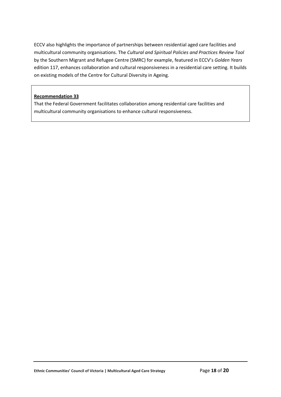ECCV also highlights the importance of partnerships between residential aged care facilities and multicultural community organisations. The *Cultural and Spiritual Policies and Practices Review Tool* by the Southern Migrant and Refugee Centre (SMRC) for example, featured in ECCV's *Golden Years* edition 117, enhances collaboration and cultural responsiveness in a residential care setting. It builds on existing models of the Centre for Cultural Diversity in Ageing.

#### **Recommendation 33**

That the Federal Government facilitates collaboration among residential care facilities and multicultural community organisations to enhance cultural responsiveness.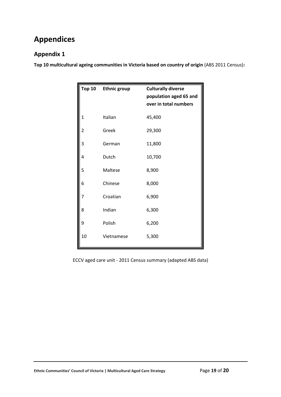# <span id="page-20-0"></span>**Appendices**

# <span id="page-20-1"></span>**Appendix 1**

**Top 10 multicultural ageing communities in Victoria based on country of origin** (ABS 2011 Census)**:** 

| <b>Top 10</b> | <b>Ethnic group</b> | <b>Culturally diverse</b><br>population aged 65 and<br>over in total numbers |
|---------------|---------------------|------------------------------------------------------------------------------|
| 1             | Italian             | 45,400                                                                       |
| 2             | Greek               | 29,300                                                                       |
| 3             | German              | 11,800                                                                       |
| 4             | Dutch               | 10,700                                                                       |
| 5             | Maltese             | 8,900                                                                        |
| 6             | Chinese             | 8,000                                                                        |
| 7             | Croatian            | 6,900                                                                        |
| 8             | Indian              | 6,300                                                                        |
| 9             | Polish              | 6,200                                                                        |
| 10            | Vietnamese          | 5,300                                                                        |

ECCV aged care unit - 2011 Census summary (adapted ABS data)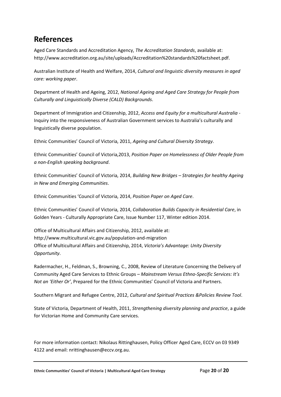# <span id="page-21-0"></span>**References**

Aged Care Standards and Accreditation Agency, *The Accreditation Standards*, available at: http://www.accreditation.org.au/site/uploads/Accreditation%20standards%20factsheet.pdf.

Australian Institute of Health and Welfare, 2014, *Cultural and linguistic diversity measures in aged care: working paper*.

Department of Health and Ageing, 2012, *National Ageing and Aged Care Strategy for People from Culturally and Linguistically Diverse (CALD) Backgrounds*.

Department of Immigration and Citizenship, 2012, *Access and Equity for a multicultural Australia* - Inquiry into the responsiveness of Australian Government services to Australia's culturally and linguistically diverse population.

Ethnic Communities' Council of Victoria, 2011, *Ageing and Cultural Diversity Strategy*.

Ethnic Communities' Council of Victoria,2013, *Position Paper on Homelessness of Older People from a non-English speaking background*.

Ethnic Communities' Council of Victoria, 2014, *Building New Bridges – Strategies for healthy Ageing in New and Emerging Communities*.

Ethnic Communities 'Council of Victoria, 2014, *Position Paper on Aged Care*.

Ethnic Communities' Council of Victoria, 2014, *Collaboration Builds Capacity in Residential Care*, in Golden Years - Culturally Appropriate Care, Issue Number 117, Winter edition 2014.

Office of Multicultural Affairs and Citizenship, 2012, available at: http://www.multicultural.vic.gov.au/population-and-migration Office of Multicultural Affairs and Citizenship, 2014, *Victoria's Advantage: Unity Diversity Opportunity*.

Radermacher, H., Feldman, S., Browning, C., 2008, Review of Literature Concerning the Delivery of Community Aged Care Services to Ethnic Groups – *Mainstream Versus Ethno-Specific Services: It's Not an 'Either Or'*, Prepared for the Ethnic Communities' Council of Victoria and Partners.

Southern Migrant and Refugee Centre, 2012, *Cultural and Spiritual Practices &Policies Review Tool*.

State of Victoria, Department of Health, 2011, *Strengthening diversity planning and practice*, a guide for Victorian Home and Community Care services.

For more information contact: Nikolaus Rittinghausen, Policy Officer Aged Care, ECCV on 03 9349 4122 and email: nrittinghausen@eccv.org.au.